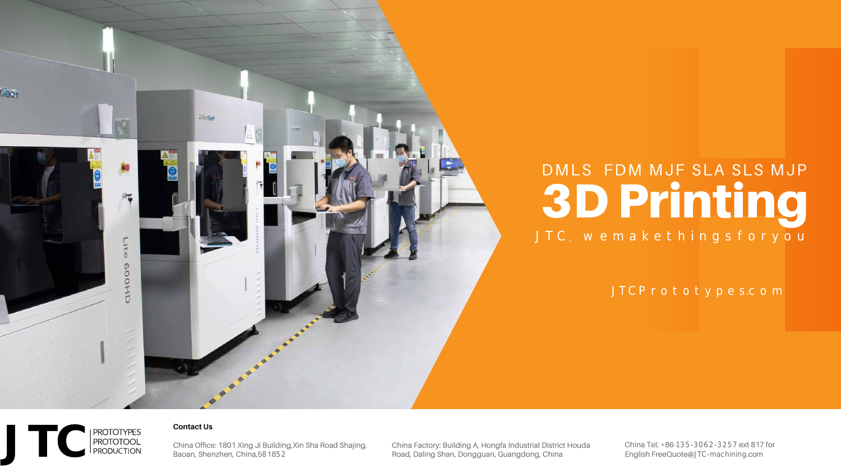

#### **Contact Us**

PROTOTYPES<br>PROTOTOOL<br>PRODUCTION

China Office: 1801 Xing Ji Building,Xin Sha Road Shajing, Baoan, Shenzhen, China,581852

China Factory: Building A, Hongfa Industrial District Houda Road, Daling Shan, Dongguan, Guangdong, China

China Tel: +86-135-3062-3257 ext 817 for English FreeQuote@JTC-machining.com



# 3D Printing DMLS FDM MJF SLA SLS MJP J T C , w e m a k e t h i n g s f o r y o u

J T C P r o t o t y p e s.c o m

**JTC**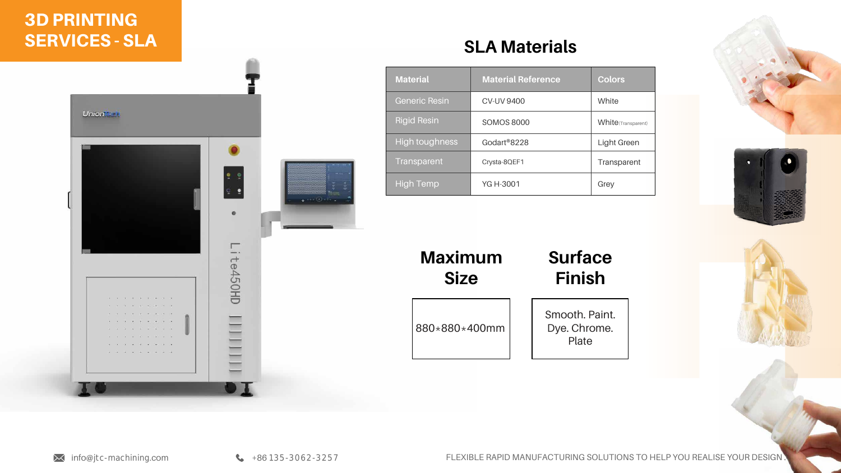# **Surface Finish**

#### **Maximum Size**

Smooth. Paint. Dye. Chrome. Plate



M info@jtc-machining.com  $\begin{array}{c} \bullet \quad +86\ 135 - 3062 - 3257 \end{array}$  FLEXIBLE RAPID MANUFACTURING SOLUTIONS TO HELP YOU REALISE YOUR DESIGN

880\*880\*400mm

# 3D PRINTING SERVICES - SLA



| <b>Material</b>       | <b>Material Reference</b> | <b>Colors</b>      |
|-----------------------|---------------------------|--------------------|
| Generic Resin         | <b>CV-UV 9400</b>         | White              |
| <b>Rigid Resin</b>    | <b>SOMOS 8000</b>         | White(Transparent) |
| <b>High toughness</b> | Godart <sup>®</sup> 8228  | <b>Light Green</b> |
| <b>Transparent</b>    | Crysta-8QEF1              | <b>Transparent</b> |
| <b>High Temp</b>      | <b>YG H-3001</b>          | Grey               |



# **SLA Materials**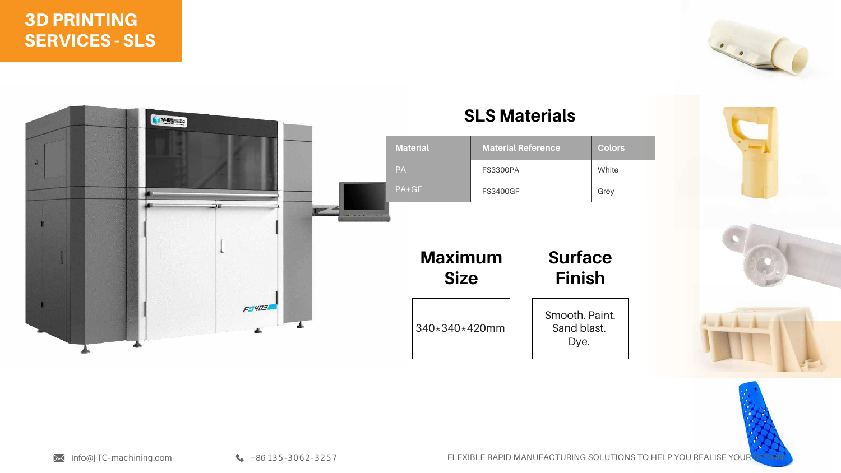





# **SLS Materials**

| <b>Material</b> | <b>Material Reference</b> | <b>Colors</b> |
|-----------------|---------------------------|---------------|
| <b>PA</b>       | <b>FS3300PA</b>           | White         |
| $PA + GF$       | <b>FS3400GF</b>           | Grey          |

# 3D PRINTING SERVICES - SLS





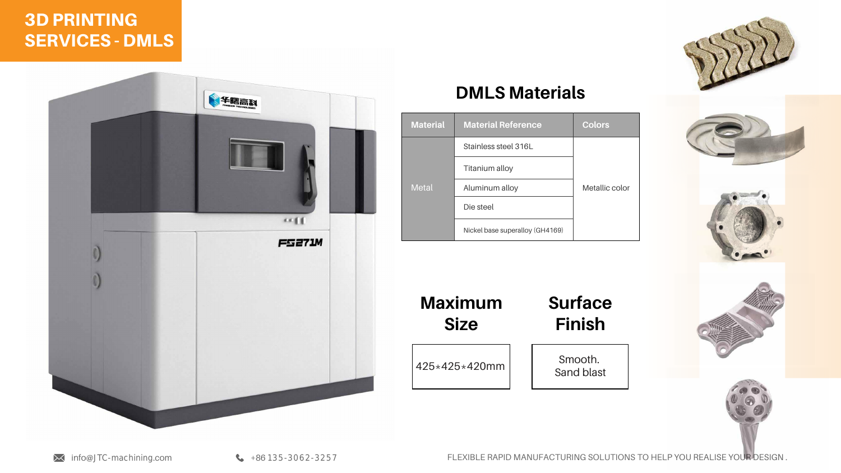# 3D PRINTING SERVICES - DMLS







**Surface**

M info@JTC-machining.com  $\bullet$  +86 135-3062-3257 FLEXIBLE RAPID MANUFACTURING SOLUTIONS TO HELP YOU REALISE YOUR DESIGN.





**Maximum**



LOOD



| <b>Material</b> | <b>Material Reference</b>       | <b>Colors</b>  |
|-----------------|---------------------------------|----------------|
| <b>Metal</b>    | Stainless steel 316L            |                |
|                 | <b>Titanium alloy</b>           |                |
|                 | Aluminum alloy                  | Metallic color |
|                 | Die steel                       |                |
|                 | Nickel base superalloy (GH4169) |                |

# **DMLS Materials**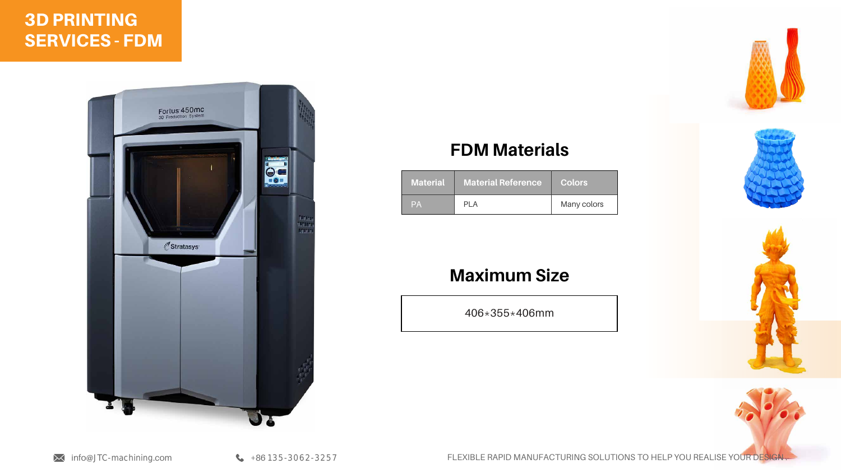# **Maximum Size**

406\*355\*406mm

M info@JTC-machining.com  $\bullet$  +86 135-3062-3257 FLEXIBLE RAPID MANUFACTURING SOLUTIONS TO HELP YOU REALISE YOUR DESIGN.







| <b>Material</b> | <b>Material Reference</b> | <b>Colors</b> |
|-----------------|---------------------------|---------------|
| $\mathsf{PA}$   | PI A                      | Many colors   |

# **FDM Materials**

# 3D PRINTING SERVICES - FDM





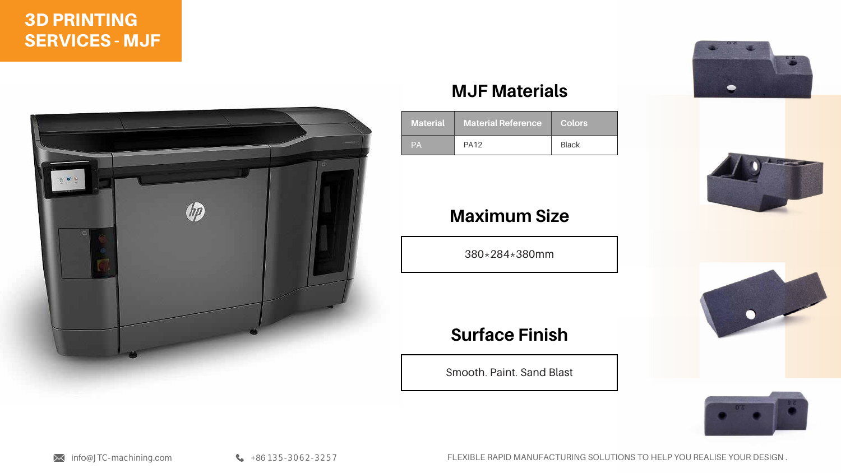# **Maximum Size**

380\*284\*380mm

# **Surface Finish**

Smooth. Paint. Sand Blast



M info@JTC-machining.com  $\bullet$  +86 135-3062-3257 FLEXIBLE RAPID MANUFACTURING SOLUTIONS TO HELP YOU REALISE YOUR DESIGN.





| <b>Material</b> | <b>Material Reference</b> | <b>Colors</b> |
|-----------------|---------------------------|---------------|
| <b>PA</b>       | <b>PA12</b>               | <b>Black</b>  |



# **MJF Materials**

# 3D PRINTING SERVICES - MJF